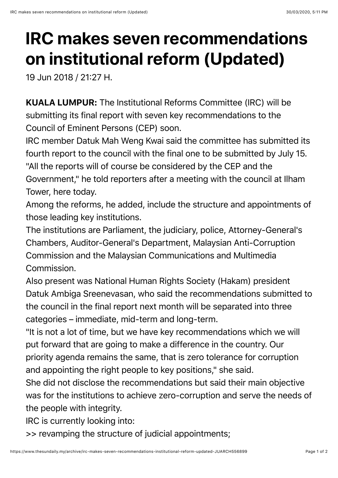## **IRC makes seven recommendations on institutional reform (Updated)**

19 Jun 2018 / 21:27 H.

KUALA LUMPUR: The Institutional Reforms Committee (IRC) will be submitting its final report with seven key recommendations to the Council of Eminent Persons (CEP) soon.

IRC member Datuk Mah Weng Kwai said the committee has submitted its fourth report to the council with the final one to be submitted by July 15. "All the reports will of course be considered by the CEP and the Government," he told reporters after a meeting with the council at Ilham Tower, here today.

Among the reforms, he added, include the structure and appointments of those leading key institutions.

The institutions are Parliament, the judiciary, police, Attorney-General's Chambers, Auditor-General's Department, Malaysian Anti-Corruption Commission and the Malaysian Communications and Multimedia Commission.

Also present was National Human Rights Society (Hakam) president Datuk Ambiga Sreenevasan, who said the recommendations submitted to the council in the final report next month will be separated into three categories – immediate, mid-term and long-term.

"It is not a lot of time, but we have key recommendations which we will put forward that are going to make a difference in the country. Our priority agenda remains the same, that is zero tolerance for corruption and appointing the right people to key positions," she said.

She did not disclose the recommendations but said their main objective was for the institutions to achieve zero-corruption and serve the needs of the people with integrity.

IRC is currently looking into:

>> revamping the structure of judicial appointments;